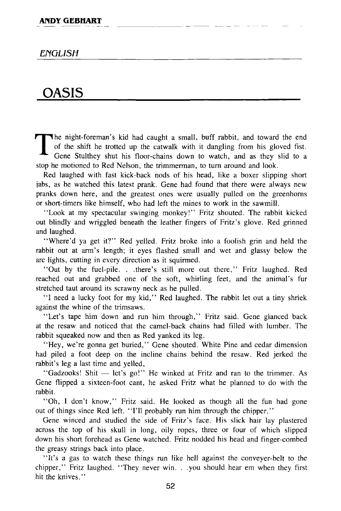## *ENGLISH*

## OASIS

T he night-foreman's kid had caught a small, buff rabbit, and toward the end of the shift he trotted up the catwalk with it dangling from his gloved fist. Gene Stulthey shut his floor-chains down to watch, and as they slid to a stop he motioned to Red Nelson, the trimmerman, to turn around and look.

Red laughed with fast kick-back nods of his head, like a boxer slipping short jabs, as he watched this latest prank. Gene had found that there were always new pranks down here, and the greatest ones were usually pulled on the greenhorns or short-timers like himself, who had left the mines to work in the sawmill.

"Look at my spectacular swinging monkey!" Fritz shouted. The rabbit kicked out blindly and wriggled beneath the leather fingers of Fritz's glove. Red grinned and laughed.

"Where'd ya get it?" Red yelled. Fritz broke into a foolish grin and held the rabbit out at arm's length; it eyes flashed small and wet and glassy below the arc lights, cutting in every direction as it squirmed.

"Out by the fuel-pile. . .there's still more out there," Fritz laughed. Red reached out and grabbed one of the soft, whirling feet, and the animal's fur stretched taut around its scrawny neck as he pulled.

"I need a lucky foot for my kid," Red laughed. The rabbit let out a tiny shriek against the whine of the trimsaws.

"Let's tape him down and run him through," Fritz said. Gene glanced back at the resaw and noticed that the camel-back chains had filled with lumber. The rabbit squeaked now and then as Red yanked its leg.

"Hey, we're gonna get buried," Gene shouted. White Pine and cedar dimension had piled a foot deep on the incline chains behind the resaw. Red jerked the rabbit's leg a last time and yelled,

"Gadzooks! Shit — let's go!" He winked at Fritz and ran to the trimmer. As Gene flipped a sixteen-foot cant, he asked Fritz what he planned to do with the rabbit.

"Oh, I don't know," Fritz said. He looked as though all the fun had gone out of things since Red left. "I'll probably run him through the chipper."

Gene winced and studied the side of Fritz's face. His slick hair lay plastered across the top of his skull in long, oily ropes, three or four of which slipped down his short forehead as Gene watched. Fritz nodded his head and finger-combed the greasy strings back into place.

"It's a gas to watch these things run like hell against the conveyer-belt to the chipper," Fritz laughed. "They never win. . .you should hear em when they first hit the knives."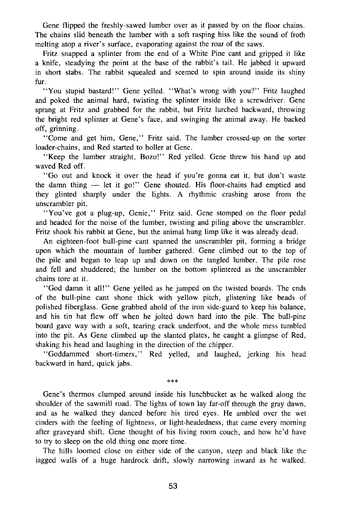Gene flipped the freshly-sawed lumber over as it passed by on the floor chains. The chains slid beneath the lumber with a soft rasping hiss like the sound of froth melting atop a river's surface, evaporating against the roar of the saws.

Fritz snapped a splinter from the end of a White Pine cant and gripped it like a knife, steadying the point at the base of the rabbit's tail. He jabbed it upward in short stabs. The rabbit squealed and seemed to spin around inside its shiny fur.

"You stupid bastard!" Gene yelled. "What's wrong with you?" Fritz laughed and poked the animal hard, twisting the splinter inside like a screwdriver. Gene sprang at Fritz and grabbed for the rabbit, but Fritz lurched backward, throwing the bright red splinter at Gene's face, and swinging the animal away. He backed off, grinning.

"Come and get him, Gene," Fritz said. The lumber crossed-up on the sorter loader-chains, and Red started to holler at Gene.

"Keep the lumber straight, Bozo!" Red yelled. Gene threw his hand up and waved Red off.

"Go out and knock it over the head if you're gonna eat it, but don't waste the damn thing — let it go!" Gene shouted. His floor-chains had emptied and they glinted sharply under the lights. A rhythmic crashing arose from the unscrambler pit.

"You've got a plug-up, Genie," Fritz said. Gene stomped on the floor pedal and headed for the noise of the lumber, twisting and piling above the unscrambler. Fritz shook his rabbit at Gene, but the animal hung limp like it was already dead.

An eighteen-foot bull-pine cant spanned the unscrambler pit, forming a bridge upon which the mountain of lumber gathered. Gene climbed out to the top of the pile and began to leap up and down on the tangled lumber. The pile rose and fell and shuddered; the lumber on the bottom splintered as the unscrambler chains tore at it.

"God damn it all!" Gene yelled as he jumped on the twisted boards. The ends of the bull-pine cant shone thick with yellow pitch, glistening like beads of polished fiberglass. Gene grabbed ahold of the iron side-guard to keep his balance, and his tin hat flew off when he jolted down hard into the pile. The bull-pine board gave way with a soft, tearing crack underfoot, and the whole mess tumbled into the pit. As Gene climbed up the slanted plates, he caught a glimpse of Red, shaking his head and laughing in the direction of the chipper.

"Goddammed short-timers," Red yelled, and laughed, jerking his head backward in hard, quick jabs.

**\*\*\*** 

Gene's thermos clumped around inside his lunchbucket as he walked along the shoulder of the sawmill road. The lights of town lay far-off through the gray dawn, and as he walked they danced before his tired eyes. He ambled over the wet cinders with the feeling of lightness, or light-headedness, that came every morning after graveyard shift. Gene thought of his living room couch, and how he'd have to try to sleep on the old thing one more time.

The hills loomed close on either side of the canyon, steep and black like the jagged walls of a huge hardrock drift, slowly narrowing inward as he walked.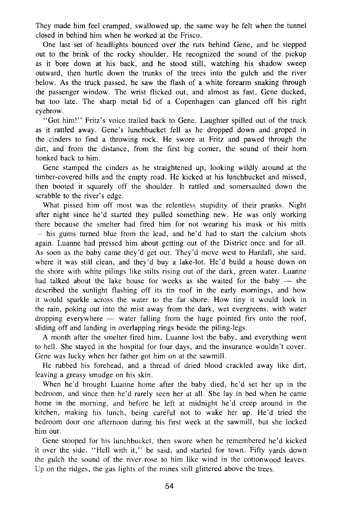They made him feel cramped, swallowed up, the same way he felt when the tunnel closed in behind him when he worked at the Frisco.

One last set of headlights bounced over the ruts behind Gene, and he stepped out to the brink of the rocky shoulder. He recognized the sound of the pickup as it bore down at his back, and he stood still, watching his shadow sweep outward, then hurtle down the trunks of the trees into the gulch and the river below. As the truck passed, he saw the flash of a white forearm snaking through the passenger window. The wrist flicked out, and almost as fast, Gene ducked, but too late. The sharp metal lid of a Copenhagen can glanced off his right eyebrow.

"Got him!" Fritz's voice trailed back to Gene. Laughter spilled out of the truck as it rattled away. Gene's lunchbucket fell as he dropped down and groped in the cinders to find a throwing rock. He swore at Fritz and pawed through the dirt, and from the distance, from the first big corner, the sound of their horn honked back to him.

Gene stamped the cinders as he straightened up, looking wildly around at the timber-covered hills and the empty road. He kicked at his lunchbucket and missed, then booted it squarely off the shoulder. It rattled and somersaulted down the scrabble to the river's edge.

What pissed him off most was the relentless stupidity of their pranks. Night after night since he'd started they pulled something new. He was only working there because the smelter had fired him for not wearing his mask or his mitts — his gums turned blue from the lead, and he'd had to start the calcium shots again. Luanne had pressed him about getting out of the District once and for all. As soon as the baby came they'd get out. They'd move west to Hardall, she said, where it was still clean, and they'd buy a lake-lot. He'd build a house down on the shore with white pilings like stilts rising out of the dark, green water. Luanne had talked about the lake house for weeks as she waited for the baby — she described the sunlight flashing off its tin roof in the early mornings, and how it would sparkle across the water to the far shore. How tiny it would look in the rain, poking out into the mist away from the dark, wet evergreens, with water dropping everywhere — water falling from the huge pointed firs onto the roof, sliding off and landing in overlapping rings beside the piling-legs.

A month after the smelter fired him, Luanne lost the baby, and everything went to hell. She stayed in the hospital for four days, and the insurance wouldn't cover. Gene was lucky when her father got him on at the sawmill.

He rubbed his forehead, and a thread of dried blood crackled away like dirt, leaving a greasy smudge on his skin.

When he'd brought Luanne home after the baby died, he'd set her up in the bedroom, and since then he'd rarely seen her at all. She lay in bed when he came home in the morning, and before he left at midnight he'd creep around in the kitchen, making his lunch, being careful not to wake her up. He'd tried the bedroom door one afternoon during his first week at the sawmill, but she locked him out.

Gene stooped for his lunchbucket, then swore when he remembered he'd kicked it over the side. "Hell with it," he said, and started for town. Fifty yards down the gulch the sound of the river rose to him like wind in the Cottonwood leaves. Up on the ridges, the gas lights of the mines still glittered above the trees.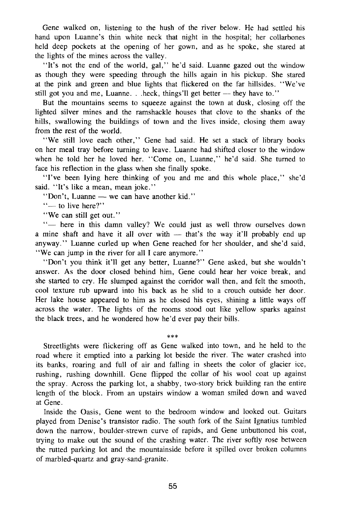Gene walked on, listening to the hush of the river below. He had settled his hand upon Luanne's thin white neck that night in the hospital; her collarbones held deep pockets at the opening of her gown, and as he spoke, she stared at the lights of the mines across the valley.

"It's not the end of the world, gal," he'd said. Luanne gazed out the window as though they were speeding through the hills again in his pickup. She stared at the pink and green and blue lights that flickered on the far hillsides. "We've still got you and me, Luanne. . .heck, things'll get better — they have to."

But the mountains seems to squeeze against the town at dusk, closing off the lighted silver mines and the ramshackle houses that clove to the shanks of the hills, swallowing the buildings of town and the lives inside, closing them away from the rest of the world.

"We still love each other," Gene had said. He set a stack of library books on her meal tray before turning to leave. Luanne had shifted closer to the window when he told her he loved her. "Come on, Luanne," he'd said. She turned to face his reflection in the glass when she finally spoke.

"I've been lying here thinking of you and me and this whole place," she'd said. "It's like a mean, mean joke."

"Don't, Luanne — we can have another kid."

"— to live here?"

"We can still get out."

"- here in this damn valley? We could just as well throw ourselves down a mine shaft and have it all over with — that's the way it'll probably end up anyway." Luanne curled up when Gene reached for her shoulder, and she'd said, "We can jump in the river for all I care anymore."

"Don't you think it'll get any better, Luanne?" Gene asked, but she wouldn't answer. As the door closed behind him, Gene could hear her voice break, and she started to cry. He slumped against the corridor wall then, and felt the smooth, cool texture rub upward into his back as he slid to a crouch outside her door. Her lake house appeared to him as he closed his eyes, shining a little ways off across the water. The lights of the rooms stood out like yellow sparks against the black trees, and he wondered how he'd ever pay their bills.

Streetlights were flickering off as Gene walked into town, and he held to the road where it emptied into a parking lot beside the river. The water crashed into its banks, roaring and full of air and falling in sheets the color of glacier ice, rushing, rushing downhill. Gene flipped the collar of his wool coat up against the spray. Across the parking lot, a shabby, two-story brick building ran the entire length of the block. From an upstairs window a woman smiled down and waved at Gene.

\*\*#

Inside the Oasis, Gene went to the bedroom window and looked out. Guitars played from Denise's transistor radio. The south fork of the Saint Ignatius tumbled down the narrow, boulder-strewn curve of rapids, and Gene unbuttoned his coat, trying to make out the sound of the crashing water. The river softly rose between the rutted parking lot and the mountainside before it spilled over broken columns of marbled-quartz and gray-sand-granite.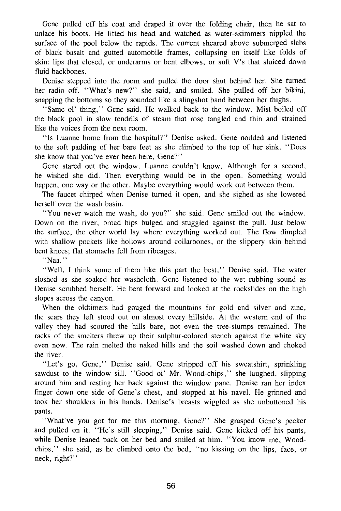Gene pulled off his coat and draped it over the folding chair, then he sat to unlace his boots. He lifted his head and watched as water-skimmers nippled the surface of the pool below the rapids. The current sheared above submerged slabs of black basalt and gutted automobile frames, collapsing on itself like folds of skin: lips that closed, or underarms or bent elbows, or soft V's that sluiced down fluid backbones.

Denise stepped into the room and pulled the door shut behind her. She turned her radio off. "What's new?" she said, and smiled. She pulled off her bikini, snapping the bottoms so they sounded like a slingshot band between her thighs.

"Same ol' thing," Gene said. He walked back to the window. Mist boiled off the black pool in slow tendrils of steam that rose tangled and thin and strained like the voices from the next room.

"Is Luanne home from the hospital?" Denise asked. Gene nodded and listened to the soft padding of her bare feet as she climbed to the top of her sink. "Does she know that you've ever been here, Gene?"

Gene stared out the window. Luanne couldn't know. Although for a second, he wished she did. Then everything would be in the open. Something would happen, one way or the other. Maybe everything would work out between them.

The faucet chirped when Denise turned it open, and she sighed as she lowered herself over the wash basin.

"You never watch me wash, do you?" she said. Gene smiled out the window. Down on the river, broad hips bulged and stuggled against the pull. Just below the surface, the other world lay where everything worked out. The flow dimpled with shallow pockets like hollows around collarbones, or the slippery skin behind bent knees; flat stomachs fell from ribcages.

"Naa."

"Well, I think some of them like this part the best," Denise said. The water sloshed as she soaked her washcloth. Gene listened to the wet rubbing sound as Denise scrubbed herself. He bent forward and looked at the rockslides on the high slopes across the canyon.

When the oldtimers had gouged the mountains for gold and silver and zinc, the scars they left stood out on almost every hillside. At the western end of the valley they had scoured the hills bare, not even the tree-stumps remained. The racks of the smelters threw up their sulphur-colored stench against the white sky even now. The rain melted the naked hills and the soil washed down and choked the river.

"Let's go, Gene," Denise said. Gene stripped off his sweatshirt, sprinkling sawdust to the window sill. "Good ol' Mr. Wood-chips," she laughed, slipping around him and resting her back against the window pane. Denise ran her index finger down one side of Gene's chest, and stopped at his navel. He grinned and took her shoulders in his hands. Denise's breasts wiggled as she unbuttoned his pants.

"What've you got for me this morning, Gene?" She grasped Gene's pecker and pulled on it. "He's still sleeping," Denise said. Gene kicked off his pants, while Denise leaned back on her bed and smiled at him. "You know me, Woodchips," she said, as he climbed onto the bed, "no kissing on the lips, face, or neck, right?"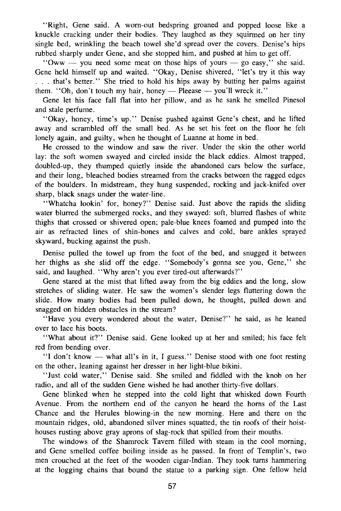"Right, Gene said. A worn-out bedspring groaned and popped loose like a knuckle cracking under their bodies. They laughed as they squirmed on her tiny single bed, wrinkling the beach towel she'd spread over the covers. Denise's hips rubbed sharply under Gene, and she stopped him, and pushed at him to get off.

"Oww — you need some meat on those hips of yours — go easy," she said. Gene held himself up and waited. "Okay, Denise shivered, "let's try it this way . . . that's better." She tried to hold his hips away by butting her palms against them. "Oh, don't touch my hair, honey — Pleease — you'll wreck it."

Gene let his face fall flat into her pillow, and as he sank he smelled Pinesol and stale perfume.

"Okay, honey, time's up." Denise pushed against Gene's chest, and he lifted away and scrambled off the small bed. As he set his feet on the floor he felt lonely again, and guilty, when he thought of Luanne at home in bed.

He crossed to the window and saw the river. Under the skin the other world lay: the soft women swayed and circled inside the black eddies. Almost trapped, doubled-up, they thumped quietly inside the abandoned cars below the surface, and their long, bleached bodies streamed from the cracks between the ragged edges of the boulders. In midstream, they hung suspended, rocking and jack-knifed over sharp, black snags under the water-line.

"Whatcha lookin' for, honey?" Denise said. Just above the rapids the sliding water blurred the submerged rocks, and they swayed: soft, blurred flashes of white thighs that crossed or shivered open; pale-blue knees foamed and pumped into the air as refracted lines of shin-bones and calves and cold, bare ankles sprayed skyward, bucking against the push.

Denise pulled the towel up from the foot of the bed, and snugged it between her thighs as she slid off the edge. "Somebody's gonna see you, Gene," she said, and laughed. "Why aren't you ever tired-out afterwards?"

Gene stared at the mist that lifted away from the big eddies and the long, slow stretches of sliding water. He saw the women's slender legs fluttering down the slide. How many bodies had been pulled down, he thought, pulled down and snagged on hidden obstacles in the stream?

"Have you every wondered about the water, Denise?" he said, as he leaned over to lace his boots.

"What about it?" Denise said. Gene looked up at her and smiled; his face felt red from bending over.

"I don't know — what all's in it, I guess." Denise stood with one foot resting on the other, leaning against her dresser in her light-blue bikini.

"Just cold water," Denise said. She smiled and fiddled with the knob on her radio, and all of the sudden Gene wished he had another thirty-five dollars.

Gene blinked when he stepped into the cold light that whisked down Fourth Avenue. From the northern end of the canyon he heard the horns of the Last Chance and the Herules blowing-in the new morning. Here and there on the mountain ridges, old, abandoned silver mines squatted, the tin roofs of their hoisthouses rusting above gray aprons of slag-rock that spilled from their mouths.

The windows of the Shamrock Tavern filled with steam in the cool morning, and Gene smelled coffee boiling inside as he passed. In front of Templin's, two men crouched at the feet of the wooden cigar-Indian. They took turns hammering at the logging chains that bound the statue to a parking sign. One fellow held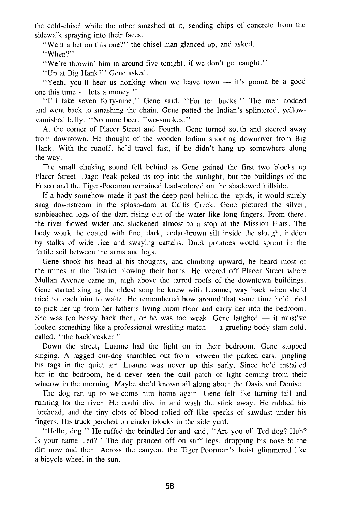the cold-chisel while the other smashed at it, sending chips of concrete from the sidewalk spraying into their faces.

"Want a bet on this one?" the chisel-man glanced up, and asked.

"When?"

"We're throwin' him in around five tonight, if we don't get caught."

"Up at Big Hank?" Gene asked.

"Yeah, you'll hear us honking when we leave town — it's gonna be a good one this time — lots a money."

"I'll take seven forty-nine," Gene said. "For ten bucks." The men nodded and went back to smashing the chain. Gene patted the Indian's splintered, yellowvarnished belly. "No more beer, Two-smokes."

At the corner of Placer Street and Fourth, Gene turned south and steered away from downtown. He thought of the wooden Indian shooting downriver from Big Hank. With the runoff, he'd travel fast, if he didn't hang up somewhere along the way.

The small clinking sound fell behind as Gene gained the first two blocks up Placer Street. Dago Peak poked its top into the sunlight, but the buildings of the Frisco and the Tiger-Poorman remained lead-colored on the shadowed hillside.

If a body somehow made it past the deep pool behind the rapids, it would surely snag downstream in the splash-dam at Callis Creek. Gene pictured the silver, sunbleached logs of the dam rising out of the water like long fingers. From there, the river flowed wider and slackened almost to a stop at the Mission Flats. The body would be coated with fine, dark, cedar-brown silt inside the slough, hidden by stalks of wide rice and swaying cattails. Duck potatoes would sprout in the fertile soil between the arms and legs.

Gene shook his head at his thoughts, and climbing upward, he heard most of the mines in the District blowing their horns. He veered off Placer Street where Mullan Avenue came in, high above the tarred roofs of the downtown buildings. Gene started singing the oldest song he knew with Luanne, way back when she'd tried to teach him to waltz. He remembered how around that same time he'd tried to pick her up from her father's living-room floor and carry her into the bedroom. She was too heavy back then, or he was too weak. Gene laughed  $-$  it must've looked something like a professional wrestling match — a grueling body-slam hold, called, "the backbreaker."

Down the street, Luanne had the light on in their bedroom. Gene stopped singing. A ragged cur-dog shambled out from between the parked cars, jangling his tags in the quiet air. Luanne was never up this early. Since he'd installed her in the bedroom, he'd never seen the dull patch of light coming from their window in the morning. Maybe she'd known all along about the Oasis and Denise.

The dog ran up to welcome him home again. Gene felt like turning tail and running for the river. He could dive in and wash the stink away. He rubbed his forehead, and the tiny clots of blood rolled off like specks of sawdust under his fingers. His truck perched on cinder blocks in the side yard.

"Hello, dog." He ruffed the brindled fur and said, "Are you ol' Ted-dog? Huh? Is your name Ted?" The dog pranced off on stiff legs, dropping his nose to the dirt now and then. Across the canyon, the Tiger-Poorman's hoist glimmered like a bicycle wheel in the sun.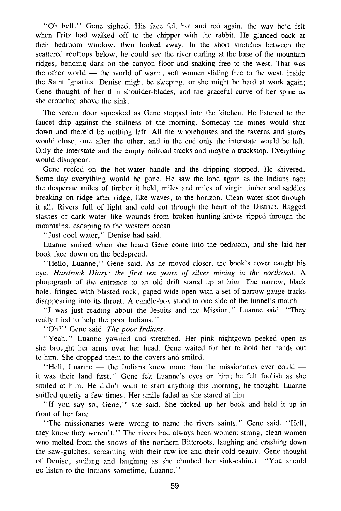"Oh hell." Gene sighed. His face felt hot and red again, the way he'd felt when Fritz had walked off to the chipper with the rabbit. He glanced back at their bedroom window, then looked away. In the short stretches between the scattered rooftops below, he could see the river curling at the base of the mountain ridges, bending dark on the canyon floor and snaking free to the west. That was the other world — the world of warm, soft women sliding free to the west, inside the Saint Ignatius. Denise might be sleeping, or she might be hard at work again; Gene thought of her thin shoulder-blades, and the graceful curve of her spine as she crouched above the sink.

The screen door squeaked as Gene stepped into the kitchen. He listened to the faucet drip against the stillness of the morning. Someday the mines would shut down and there'd be nothing left. All the whorehouses and the taverns and stores would close, one after the other, and in the end only the interstate would be left. Only the interstate and the empty railroad tracks and maybe a truckstop. Everything would disappear.

Gene reefed on the hot-water handle and the dripping stopped. He shivered. Some day everything would be gone. He saw the land again as the Indians had: the desperate miles of timber it held, miles and miles of virgin timber and saddles breaking on ridge after ridge, like waves, to the horizon. Clean water shot through it all. Rivers full of light and cold cut through the heart of the District. Ragged slashes of dark water like wounds from broken hunting-knives ripped through the mountains, escaping to the western ocean.

"Just cool water," Denise had said.

Luanne smiled when she heard Gene come into the bedroom, and she laid her book face down on the bedspread.

"Hello, Luanne," Gene said. As he moved closer, the book's cover caught his eye. *Hardrock Diary: the first ten years of silver mining in the northwest.* A photograph of the entrance to an old drift stared up at him. The narrow, black hole, fringed with blasted rock, gaped wide open with a set of narrow-gauge tracks disappearing into its throat. A candle-box stood to one side of the tunnel's mouth.

"I was just reading about the Jesuits and the Mission," Luanne said. "They really tried to help the poor Indians."

"Oh?" Gene said. *The poor Indians.* 

"Yeah." Luanne yawned and stretched. Her pink nightgown peeked open as she brought her arms over her head. Gene waited for her to hold her hands out to him. She dropped them to the covers and smiled.

"Hell, Luanne — the Indians knew more than the missionaries ever could it was their land first." Gene felt Luanne's eyes on him; he felt foolish as she smiled at him. He didn't want to start anything this morning, he thought. Luanne sniffed quietly a few times. Her smile faded as she stared at him.

"If you say so, Gene," she said. She picked up her book and held it up in front of her face.

"The missionaries were wrong to name the rivers saints," Gene said. "Hell, they knew they weren't." The rivers had always been women: strong, clean women who melted from the snows of the northern Bitteroots, laughing and crashing down the saw-gulches, screaming with their raw ice and their cold beauty. Gene thought of Denise, smiling and laughing as she climbed her sink-cabinet. "You should go listen to the Indians sometime, Luanne."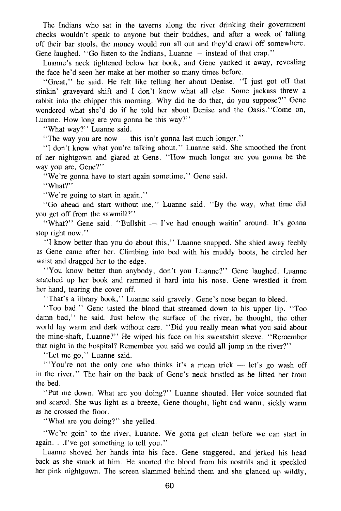The Indians who sat in the taverns along the river drinking their government checks wouldn't speak to anyone but their buddies, and after a week of falling off their bar stools, the money would run all out and they'd crawl off somewhere. Gene laughed. "Go listen to the Indians, Luanne — instead of that crap."

Luanne's neck tightened below her book, and Gene yanked it away, revealing the face he'd seen her make at her mother so many times before.

"Great," he said. He felt like telling her about Denise. "I just got off that stinkin' graveyard shift and I don't know what all else. Some jackass threw a rabbit into the chipper this morning. Why did he do that, do you suppose?" Gene wondered what she'd do if he told her about Denise and the Oasis."Come on, Luanne. How long are you gonna be this way?"

"What way?" Luanne said.

"The way you are now — this isn't gonna last much longer."

"I don't know what you're talking about," Luanne said. She smoothed the front of her nightgown and glared at Gene. "How much longer are you gonna be the way you are, Gene?"

"We're gonna have to start again sometime," Gene said.

"What?"

"We're going to start in again."

"Go ahead and start without me," Luanne said. "By the way, what time did you get off from the sawmill?"

"What?" Gene said. "Bullshit - I've had enough waitin' around. It's gonna stop right now."

"I know better than you do about this," Luanne snapped. She shied away feebly as Gene came after her. Climbing into bed with his muddy boots, he circled her waist and dragged her to the edge.

"You know better than anybody, don't you Luanne?" Gene laughed. Luanne snatched up her book and rammed it hard into his nose. Gene wrestled it from her hand, tearing the cover off.

"That's a library book," Luanne said gravely. Gene's nose began to bleed.

"Too bad." Gene tasted the blood that streamed down to his upper lip. "Too damn bad," he said. Just below the surface of the river, he thought, the other world lay warm and dark without care. "Did you really mean what you said about the mine-shaft, Luanne?" He wiped his face on his sweatshirt sleeve. "Remember that night in the hospital? Remember you said we could all jump in the river?"

"Let me go," Luanne said.

"'You're not the only one who thinks it's a mean trick — let's go wash off in the river." The hair on the back of Gene's neck bristled as he lifted her from the bed.

"Put me down. What are you doing?" Luanne shouted. Her voice sounded flat and scared. She was light as a breeze, Gene thought, light and warm, sickly warm as he crossed the floor.

"What are you doing?" she yelled.

"We're goin' to the river, Luanne. We gotta get clean before we can start in again. . .I've got something to tell you."

Luanne shoved her hands into his face. Gene staggered, and jerked his head back as she struck at him. He snorted the blood from his nostrils and it speckled her pink nightgown. The screen slammed behind them and she glanced up wildly,